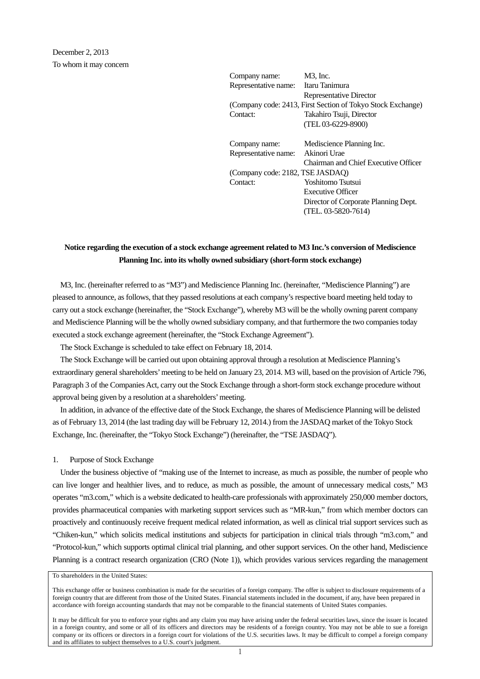| Company name:                    | $M3$ , Inc.                                                 |
|----------------------------------|-------------------------------------------------------------|
| Representative name:             | Itaru Tanimura                                              |
|                                  | Representative Director                                     |
|                                  | (Company code: 2413, First Section of Tokyo Stock Exchange) |
| Contact:                         | Takahiro Tsuji, Director                                    |
|                                  | (TEL 03-6229-8900)                                          |
| Company name:                    | Mediscience Planning Inc.                                   |
| Representative name:             | Akinori Urae                                                |
|                                  | Chairman and Chief Executive Officer                        |
| (Company code: 2182, TSE JASDAQ) |                                                             |
| Contact:                         | Yoshitomo Tsutsui                                           |
|                                  | Executive Officer                                           |
|                                  | Director of Corporate Planning Dept.                        |
|                                  | (TEL. 03-5820-7614)                                         |
|                                  |                                                             |

# **Notice regarding the execution of a stock exchange agreement related to M3 Inc.'s conversion of Mediscience Planning Inc. into its wholly owned subsidiary (short-form stock exchange)**

M3, Inc. (hereinafter referred to as "M3") and Mediscience Planning Inc. (hereinafter, "Mediscience Planning") are pleased to announce, as follows, that they passed resolutions at each company's respective board meeting held today to carry out a stock exchange (hereinafter, the "Stock Exchange"), whereby M3 will be the wholly owning parent company and Mediscience Planning will be the wholly owned subsidiary company, and that furthermore the two companies today executed a stock exchange agreement (hereinafter, the "Stock Exchange Agreement").

The Stock Exchange is scheduled to take effect on February 18, 2014.

The Stock Exchange will be carried out upon obtaining approval through a resolution at Mediscience Planning's extraordinary general shareholders' meeting to be held on January 23, 2014. M3 will, based on the provision of Article 796, Paragraph 3 of the Companies Act, carry out the Stock Exchange through a short-form stock exchange procedure without approval being given by a resolution at a shareholders' meeting.

In addition, in advance of the effective date of the Stock Exchange, the shares of Mediscience Planning will be delisted as of February 13, 2014 (the last trading day will be February 12, 2014.) from the JASDAQ market of the Tokyo Stock Exchange, Inc. (hereinafter, the "Tokyo Stock Exchange") (hereinafter, the "TSE JASDAQ").

#### 1. Purpose of Stock Exchange

Under the business objective of "making use of the Internet to increase, as much as possible, the number of people who can live longer and healthier lives, and to reduce, as much as possible, the amount of unnecessary medical costs," M3 operates "m3.com," which is a website dedicated to health-care professionals with approximately 250,000 member doctors, provides pharmaceutical companies with marketing support services such as "MR-kun," from which member doctors can proactively and continuously receive frequent medical related information, as well as clinical trial support services such as "Chiken-kun," which solicits medical institutions and subjects for participation in clinical trials through "m3.com," and "Protocol-kun," which supports optimal clinical trial planning, and other support services. On the other hand, Mediscience Planning is a contract research organization (CRO (Note 1)), which provides various services regarding the management

To shareholders in the United States:

This exchange offer or business combination is made for the securities of a foreign company. The offer is subject to disclosure requirements of a foreign country that are different from those of the United States. Financial statements included in the document, if any, have been prepared in accordance with foreign accounting standards that may not be comparable to the financial statements of United States companies.

It may be difficult for you to enforce your rights and any claim you may have arising under the federal securities laws, since the issuer is located in a foreign country, and some or all of its officers and directors may be residents of a foreign country. You may not be able to sue a foreign company or its officers or directors in a foreign court for violations of the U.S. securities laws. It may be difficult to compel a foreign company and its affiliates to subject themselves to a U.S. court's judgment.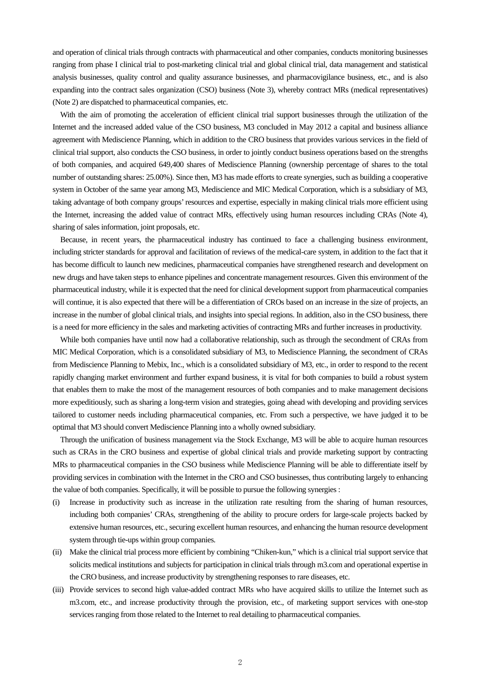and operation of clinical trials through contracts with pharmaceutical and other companies, conducts monitoring businesses ranging from phase I clinical trial to post-marketing clinical trial and global clinical trial, data management and statistical analysis businesses, quality control and quality assurance businesses, and pharmacovigilance business, etc., and is also expanding into the contract sales organization (CSO) business (Note 3), whereby contract MRs (medical representatives) (Note 2) are dispatched to pharmaceutical companies, etc.

With the aim of promoting the acceleration of efficient clinical trial support businesses through the utilization of the Internet and the increased added value of the CSO business, M3 concluded in May 2012 a capital and business alliance agreement with Mediscience Planning, which in addition to the CRO business that provides various services in the field of clinical trial support, also conducts the CSO business, in order to jointly conduct business operations based on the strengths of both companies, and acquired 649,400 shares of Mediscience Planning (ownership percentage of shares to the total number of outstanding shares: 25.00%). Since then, M3 has made efforts to create synergies, such as building a cooperative system in October of the same year among M3, Mediscience and MIC Medical Corporation, which is a subsidiary of M3, taking advantage of both company groups' resources and expertise, especially in making clinical trials more efficient using the Internet, increasing the added value of contract MRs, effectively using human resources including CRAs (Note 4), sharing of sales information, joint proposals, etc.

Because, in recent years, the pharmaceutical industry has continued to face a challenging business environment, including stricter standards for approval and facilitation of reviews of the medical-care system, in addition to the fact that it has become difficult to launch new medicines, pharmaceutical companies have strengthened research and development on new drugs and have taken steps to enhance pipelines and concentrate management resources. Given this environment of the pharmaceutical industry, while it is expected that the need for clinical development support from pharmaceutical companies will continue, it is also expected that there will be a differentiation of CROs based on an increase in the size of projects, an increase in the number of global clinical trials, and insights into special regions. In addition, also in the CSO business, there is a need for more efficiency in the sales and marketing activities of contracting MRs and further increases in productivity.

While both companies have until now had a collaborative relationship, such as through the secondment of CRAs from MIC Medical Corporation, which is a consolidated subsidiary of M3, to Mediscience Planning, the secondment of CRAs from Mediscience Planning to Mebix, Inc., which is a consolidated subsidiary of M3, etc., in order to respond to the recent rapidly changing market environment and further expand business, it is vital for both companies to build a robust system that enables them to make the most of the management resources of both companies and to make management decisions more expeditiously, such as sharing a long-term vision and strategies, going ahead with developing and providing services tailored to customer needs including pharmaceutical companies, etc. From such a perspective, we have judged it to be optimal that M3 should convert Mediscience Planning into a wholly owned subsidiary.

Through the unification of business management via the Stock Exchange, M3 will be able to acquire human resources such as CRAs in the CRO business and expertise of global clinical trials and provide marketing support by contracting MRs to pharmaceutical companies in the CSO business while Mediscience Planning will be able to differentiate itself by providing services in combination with the Internet in the CRO and CSO businesses, thus contributing largely to enhancing the value of both companies. Specifically, it will be possible to pursue the following synergies :

- (i) Increase in productivity such as increase in the utilization rate resulting from the sharing of human resources, including both companies' CRAs, strengthening of the ability to procure orders for large-scale projects backed by extensive human resources, etc., securing excellent human resources, and enhancing the human resource development system through tie-ups within group companies.
- (ii) Make the clinical trial process more efficient by combining "Chiken-kun," which is a clinical trial support service that solicits medical institutions and subjects for participation in clinical trials through m3.com and operational expertise in the CRO business, and increase productivity by strengthening responses to rare diseases, etc.
- (iii) Provide services to second high value-added contract MRs who have acquired skills to utilize the Internet such as m3.com, etc., and increase productivity through the provision, etc., of marketing support services with one-stop services ranging from those related to the Internet to real detailing to pharmaceutical companies.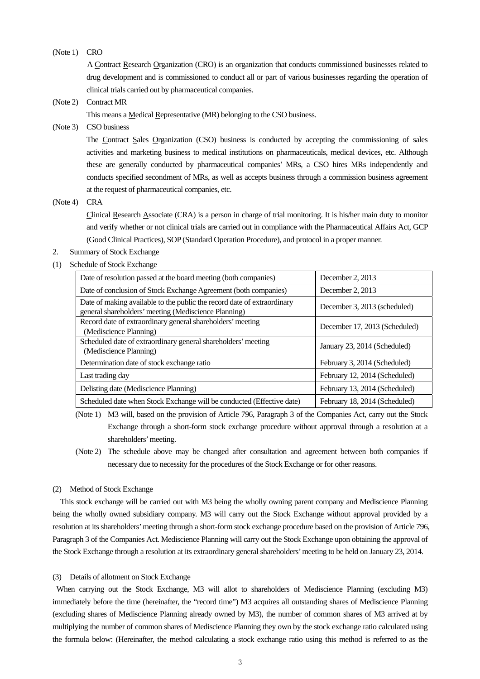## (Note 1) CRO

 A Contract Research Organization (CRO) is an organization that conducts commissioned businesses related to drug development and is commissioned to conduct all or part of various businesses regarding the operation of clinical trials carried out by pharmaceutical companies.

(Note 2) Contract MR

This means a Medical Representative (MR) belonging to the CSO business.

## (Note 3) CSO business

The Contract Sales Organization (CSO) business is conducted by accepting the commissioning of sales activities and marketing business to medical institutions on pharmaceuticals, medical devices, etc. Although these are generally conducted by pharmaceutical companies' MRs, a CSO hires MRs independently and conducts specified secondment of MRs, as well as accepts business through a commission business agreement at the request of pharmaceutical companies, etc.

#### (Note 4) CRA

Clinical Research Associate (CRA) is a person in charge of trial monitoring. It is his/her main duty to monitor and verify whether or not clinical trials are carried out in compliance with the Pharmaceutical Affairs Act, GCP (Good Clinical Practices), SOP (Standard Operation Procedure), and protocol in a proper manner.

- 2. Summary of Stock Exchange
- (1) Schedule of Stock Exchange

| Date of resolution passed at the board meeting (both companies)                                                                 | December 2, 2013              |
|---------------------------------------------------------------------------------------------------------------------------------|-------------------------------|
| Date of conclusion of Stock Exchange Agreement (both companies)                                                                 | December 2, 2013              |
| Date of making available to the public the record date of extraordinary<br>general shareholders' meeting (Mediscience Planning) | December 3, 2013 (scheduled)  |
| Record date of extraordinary general shareholders' meeting<br>(Mediscience Planning)                                            | December 17, 2013 (Scheduled) |
| Scheduled date of extraordinary general shareholders' meeting<br>(Mediscience Planning)                                         | January 23, 2014 (Scheduled)  |
| Determination date of stock exchange ratio                                                                                      | February 3, 2014 (Scheduled)  |
| Last trading day                                                                                                                | February 12, 2014 (Scheduled) |
| Delisting date (Mediscience Planning)                                                                                           | February 13, 2014 (Scheduled) |
| Scheduled date when Stock Exchange will be conducted (Effective date)                                                           | February 18, 2014 (Scheduled) |

(Note 1) M3 will, based on the provision of Article 796, Paragraph 3 of the Companies Act, carry out the Stock Exchange through a short-form stock exchange procedure without approval through a resolution at a shareholders' meeting.

(Note 2) The schedule above may be changed after consultation and agreement between both companies if necessary due to necessity for the procedures of the Stock Exchange or for other reasons.

### (2) Method of Stock Exchange

This stock exchange will be carried out with M3 being the wholly owning parent company and Mediscience Planning being the wholly owned subsidiary company. M3 will carry out the Stock Exchange without approval provided by a resolution at its shareholders' meeting through a short-form stock exchange procedure based on the provision of Article 796, Paragraph 3 of the Companies Act. Mediscience Planning will carry out the Stock Exchange upon obtaining the approval of the Stock Exchange through a resolution at its extraordinary general shareholders' meeting to be held on January 23, 2014.

#### (3) Details of allotment on Stock Exchange

When carrying out the Stock Exchange, M3 will allot to shareholders of Mediscience Planning (excluding M3) immediately before the time (hereinafter, the "record time") M3 acquires all outstanding shares of Mediscience Planning (excluding shares of Mediscience Planning already owned by M3), the number of common shares of M3 arrived at by multiplying the number of common shares of Mediscience Planning they own by the stock exchange ratio calculated using the formula below: (Hereinafter, the method calculating a stock exchange ratio using this method is referred to as the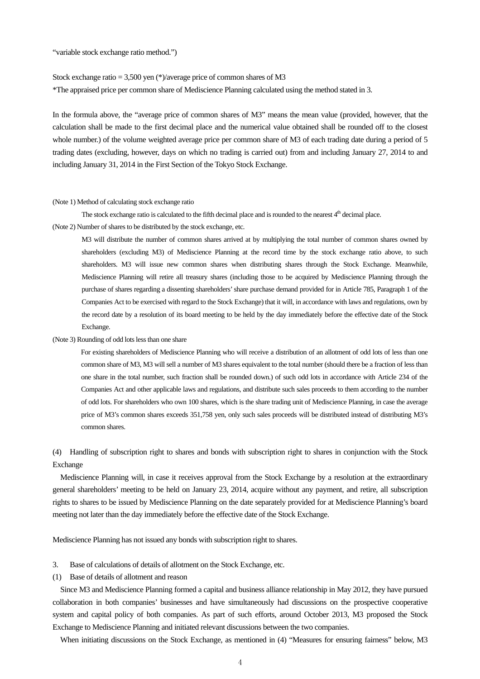"variable stock exchange ratio method.")

Stock exchange ratio = 3,500 yen (\*)/average price of common shares of M3

\*The appraised price per common share of Mediscience Planning calculated using the method stated in 3.

In the formula above, the "average price of common shares of M3" means the mean value (provided, however, that the calculation shall be made to the first decimal place and the numerical value obtained shall be rounded off to the closest whole number.) of the volume weighted average price per common share of M3 of each trading date during a period of 5 trading dates (excluding, however, days on which no trading is carried out) from and including January 27, 2014 to and including January 31, 2014 in the First Section of the Tokyo Stock Exchange.

#### (Note 1) Method of calculating stock exchange ratio

The stock exchange ratio is calculated to the fifth decimal place and is rounded to the nearest  $4<sup>th</sup>$  decimal place.

(Note 2) Number of shares to be distributed by the stock exchange, etc.

M3 will distribute the number of common shares arrived at by multiplying the total number of common shares owned by shareholders (excluding M3) of Mediscience Planning at the record time by the stock exchange ratio above, to such shareholders. M3 will issue new common shares when distributing shares through the Stock Exchange. Meanwhile, Mediscience Planning will retire all treasury shares (including those to be acquired by Mediscience Planning through the purchase of shares regarding a dissenting shareholders' share purchase demand provided for in Article 785, Paragraph 1 of the Companies Act to be exercised with regard to the Stock Exchange) that it will, in accordance with laws and regulations, own by the record date by a resolution of its board meeting to be held by the day immediately before the effective date of the Stock Exchange.

#### (Note 3) Rounding of odd lots less than one share

For existing shareholders of Mediscience Planning who will receive a distribution of an allotment of odd lots of less than one common share of M3, M3 will sell a number of M3 shares equivalent to the total number (should there be a fraction of less than one share in the total number, such fraction shall be rounded down.) of such odd lots in accordance with Article 234 of the Companies Act and other applicable laws and regulations, and distribute such sales proceeds to them according to the number of odd lots. For shareholders who own 100 shares, which is the share trading unit of Mediscience Planning, in case the average price of M3's common shares exceeds 351,758 yen, only such sales proceeds will be distributed instead of distributing M3's common shares.

(4) Handling of subscription right to shares and bonds with subscription right to shares in conjunction with the Stock Exchange

Mediscience Planning will, in case it receives approval from the Stock Exchange by a resolution at the extraordinary general shareholders' meeting to be held on January 23, 2014, acquire without any payment, and retire, all subscription rights to shares to be issued by Mediscience Planning on the date separately provided for at Mediscience Planning's board meeting not later than the day immediately before the effective date of the Stock Exchange.

Mediscience Planning has not issued any bonds with subscription right to shares.

- 3. Base of calculations of details of allotment on the Stock Exchange, etc.
- (1) Base of details of allotment and reason

Since M3 and Mediscience Planning formed a capital and business alliance relationship in May 2012, they have pursued collaboration in both companies' businesses and have simultaneously had discussions on the prospective cooperative system and capital policy of both companies. As part of such efforts, around October 2013, M3 proposed the Stock Exchange to Mediscience Planning and initiated relevant discussions between the two companies.

When initiating discussions on the Stock Exchange, as mentioned in (4) "Measures for ensuring fairness" below, M3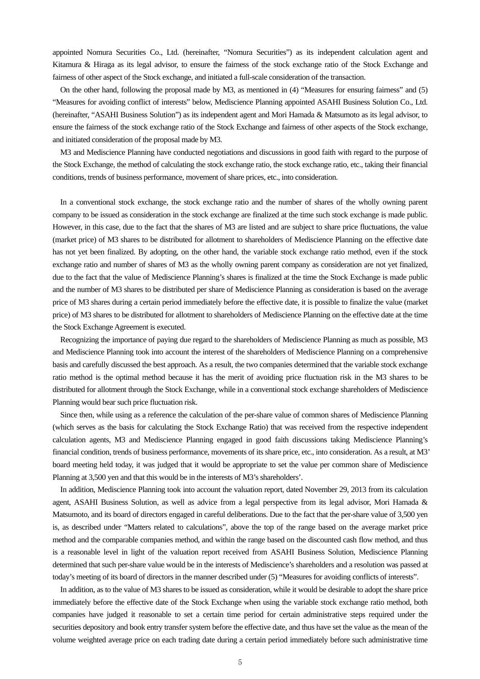appointed Nomura Securities Co., Ltd. (hereinafter, "Nomura Securities") as its independent calculation agent and Kitamura & Hiraga as its legal advisor, to ensure the fairness of the stock exchange ratio of the Stock Exchange and fairness of other aspect of the Stock exchange, and initiated a full-scale consideration of the transaction.

On the other hand, following the proposal made by M3, as mentioned in (4) "Measures for ensuring fairness" and (5) "Measures for avoiding conflict of interests" below, Mediscience Planning appointed ASAHI Business Solution Co., Ltd. (hereinafter, "ASAHI Business Solution") as its independent agent and Mori Hamada & Matsumoto as its legal advisor, to ensure the fairness of the stock exchange ratio of the Stock Exchange and fairness of other aspects of the Stock exchange, and initiated consideration of the proposal made by M3.

M3 and Mediscience Planning have conducted negotiations and discussions in good faith with regard to the purpose of the Stock Exchange, the method of calculating the stock exchange ratio, the stock exchange ratio, etc., taking their financial conditions, trends of business performance, movement of share prices, etc., into consideration.

In a conventional stock exchange, the stock exchange ratio and the number of shares of the wholly owning parent company to be issued as consideration in the stock exchange are finalized at the time such stock exchange is made public. However, in this case, due to the fact that the shares of M3 are listed and are subject to share price fluctuations, the value (market price) of M3 shares to be distributed for allotment to shareholders of Mediscience Planning on the effective date has not yet been finalized. By adopting, on the other hand, the variable stock exchange ratio method, even if the stock exchange ratio and number of shares of M3 as the wholly owning parent company as consideration are not yet finalized, due to the fact that the value of Mediscience Planning's shares is finalized at the time the Stock Exchange is made public and the number of M3 shares to be distributed per share of Mediscience Planning as consideration is based on the average price of M3 shares during a certain period immediately before the effective date, it is possible to finalize the value (market price) of M3 shares to be distributed for allotment to shareholders of Mediscience Planning on the effective date at the time the Stock Exchange Agreement is executed.

Recognizing the importance of paying due regard to the shareholders of Mediscience Planning as much as possible, M3 and Mediscience Planning took into account the interest of the shareholders of Mediscience Planning on a comprehensive basis and carefully discussed the best approach. As a result, the two companies determined that the variable stock exchange ratio method is the optimal method because it has the merit of avoiding price fluctuation risk in the M3 shares to be distributed for allotment through the Stock Exchange, while in a conventional stock exchange shareholders of Mediscience Planning would bear such price fluctuation risk.

Since then, while using as a reference the calculation of the per-share value of common shares of Mediscience Planning (which serves as the basis for calculating the Stock Exchange Ratio) that was received from the respective independent calculation agents, M3 and Mediscience Planning engaged in good faith discussions taking Mediscience Planning's financial condition, trends of business performance, movements of its share price, etc., into consideration. As a result, at M3' board meeting held today, it was judged that it would be appropriate to set the value per common share of Mediscience Planning at 3,500 yen and that this would be in the interests of M3's shareholders'.

In addition, Mediscience Planning took into account the valuation report, dated November 29, 2013 from its calculation agent, ASAHI Business Solution, as well as advice from a legal perspective from its legal advisor, Mori Hamada & Matsumoto, and its board of directors engaged in careful deliberations. Due to the fact that the per-share value of 3,500 yen is, as described under "Matters related to calculations", above the top of the range based on the average market price method and the comparable companies method, and within the range based on the discounted cash flow method, and thus is a reasonable level in light of the valuation report received from ASAHI Business Solution, Mediscience Planning determined that such per-share value would be in the interests of Mediscience's shareholders and a resolution was passed at today's meeting of its board of directors in the manner described under (5) "Measures for avoiding conflicts of interests".

In addition, as to the value of M3 shares to be issued as consideration, while it would be desirable to adopt the share price immediately before the effective date of the Stock Exchange when using the variable stock exchange ratio method, both companies have judged it reasonable to set a certain time period for certain administrative steps required under the securities depository and book entry transfer system before the effective date, and thus have set the value as the mean of the volume weighted average price on each trading date during a certain period immediately before such administrative time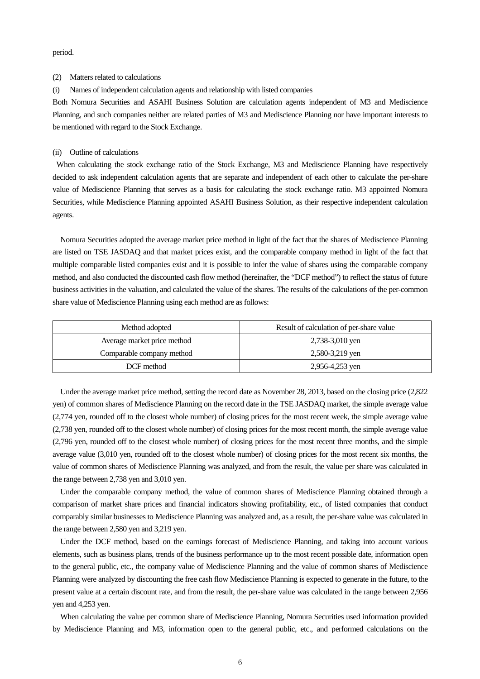period.

#### (2) Matters related to calculations

(i) Names of independent calculation agents and relationship with listed companies

Both Nomura Securities and ASAHI Business Solution are calculation agents independent of M3 and Mediscience Planning, and such companies neither are related parties of M3 and Mediscience Planning nor have important interests to be mentioned with regard to the Stock Exchange.

#### (ii) Outline of calculations

When calculating the stock exchange ratio of the Stock Exchange, M3 and Mediscience Planning have respectively decided to ask independent calculation agents that are separate and independent of each other to calculate the per-share value of Mediscience Planning that serves as a basis for calculating the stock exchange ratio. M3 appointed Nomura Securities, while Mediscience Planning appointed ASAHI Business Solution, as their respective independent calculation agents.

Nomura Securities adopted the average market price method in light of the fact that the shares of Mediscience Planning are listed on TSE JASDAQ and that market prices exist, and the comparable company method in light of the fact that multiple comparable listed companies exist and it is possible to infer the value of shares using the comparable company method, and also conducted the discounted cash flow method (hereinafter, the "DCF method") to reflect the status of future business activities in the valuation, and calculated the value of the shares. The results of the calculations of the per-common share value of Mediscience Planning using each method are as follows:

| Method adopted              | Result of calculation of per-share value |
|-----------------------------|------------------------------------------|
| Average market price method | 2,738-3,010 yen                          |
| Comparable company method   | 2,580-3,219 yen                          |
| DCF method                  | 2,956-4,253 yen                          |

Under the average market price method, setting the record date as November 28, 2013, based on the closing price (2,822 yen) of common shares of Mediscience Planning on the record date in the TSE JASDAQ market, the simple average value (2,774 yen, rounded off to the closest whole number) of closing prices for the most recent week, the simple average value (2,738 yen, rounded off to the closest whole number) of closing prices for the most recent month, the simple average value (2,796 yen, rounded off to the closest whole number) of closing prices for the most recent three months, and the simple average value (3,010 yen, rounded off to the closest whole number) of closing prices for the most recent six months, the value of common shares of Mediscience Planning was analyzed, and from the result, the value per share was calculated in the range between 2,738 yen and 3,010 yen.

Under the comparable company method, the value of common shares of Mediscience Planning obtained through a comparison of market share prices and financial indicators showing profitability, etc., of listed companies that conduct comparably similar businesses to Mediscience Planning was analyzed and, as a result, the per-share value was calculated in the range between 2,580 yen and 3,219 yen.

Under the DCF method, based on the earnings forecast of Mediscience Planning, and taking into account various elements, such as business plans, trends of the business performance up to the most recent possible date, information open to the general public, etc., the company value of Mediscience Planning and the value of common shares of Mediscience Planning were analyzed by discounting the free cash flow Mediscience Planning is expected to generate in the future, to the present value at a certain discount rate, and from the result, the per-share value was calculated in the range between 2,956 yen and 4,253 yen.

When calculating the value per common share of Mediscience Planning, Nomura Securities used information provided by Mediscience Planning and M3, information open to the general public, etc., and performed calculations on the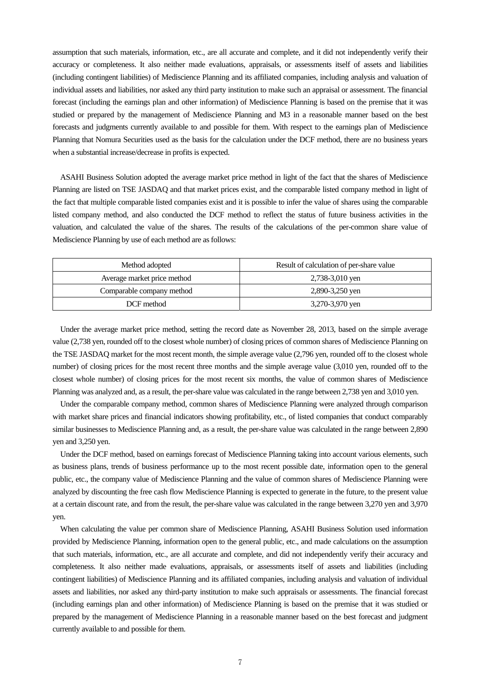assumption that such materials, information, etc., are all accurate and complete, and it did not independently verify their accuracy or completeness. It also neither made evaluations, appraisals, or assessments itself of assets and liabilities (including contingent liabilities) of Mediscience Planning and its affiliated companies, including analysis and valuation of individual assets and liabilities, nor asked any third party institution to make such an appraisal or assessment. The financial forecast (including the earnings plan and other information) of Mediscience Planning is based on the premise that it was studied or prepared by the management of Mediscience Planning and M3 in a reasonable manner based on the best forecasts and judgments currently available to and possible for them. With respect to the earnings plan of Mediscience Planning that Nomura Securities used as the basis for the calculation under the DCF method, there are no business years when a substantial increase/decrease in profits is expected.

ASAHI Business Solution adopted the average market price method in light of the fact that the shares of Mediscience Planning are listed on TSE JASDAQ and that market prices exist, and the comparable listed company method in light of the fact that multiple comparable listed companies exist and it is possible to infer the value of shares using the comparable listed company method, and also conducted the DCF method to reflect the status of future business activities in the valuation, and calculated the value of the shares. The results of the calculations of the per-common share value of Mediscience Planning by use of each method are as follows:

| Method adopted              | Result of calculation of per-share value |
|-----------------------------|------------------------------------------|
| Average market price method | 2,738-3,010 yen                          |
| Comparable company method   | 2,890-3,250 yen                          |
| DCF method                  | 3,270-3,970 yen                          |

Under the average market price method, setting the record date as November 28, 2013, based on the simple average value (2,738 yen, rounded off to the closest whole number) of closing prices of common shares of Mediscience Planning on the TSE JASDAQ market for the most recent month, the simple average value (2,796 yen, rounded off to the closest whole number) of closing prices for the most recent three months and the simple average value (3,010 yen, rounded off to the closest whole number) of closing prices for the most recent six months, the value of common shares of Mediscience Planning was analyzed and, as a result, the per-share value was calculated in the range between 2,738 yen and 3,010 yen.

Under the comparable company method, common shares of Mediscience Planning were analyzed through comparison with market share prices and financial indicators showing profitability, etc., of listed companies that conduct comparably similar businesses to Mediscience Planning and, as a result, the per-share value was calculated in the range between 2,890 yen and 3,250 yen.

Under the DCF method, based on earnings forecast of Mediscience Planning taking into account various elements, such as business plans, trends of business performance up to the most recent possible date, information open to the general public, etc., the company value of Mediscience Planning and the value of common shares of Mediscience Planning were analyzed by discounting the free cash flow Mediscience Planning is expected to generate in the future, to the present value at a certain discount rate, and from the result, the per-share value was calculated in the range between 3,270 yen and 3,970 yen.

When calculating the value per common share of Mediscience Planning, ASAHI Business Solution used information provided by Mediscience Planning, information open to the general public, etc., and made calculations on the assumption that such materials, information, etc., are all accurate and complete, and did not independently verify their accuracy and completeness. It also neither made evaluations, appraisals, or assessments itself of assets and liabilities (including contingent liabilities) of Mediscience Planning and its affiliated companies, including analysis and valuation of individual assets and liabilities, nor asked any third-party institution to make such appraisals or assessments. The financial forecast (including earnings plan and other information) of Mediscience Planning is based on the premise that it was studied or prepared by the management of Mediscience Planning in a reasonable manner based on the best forecast and judgment currently available to and possible for them.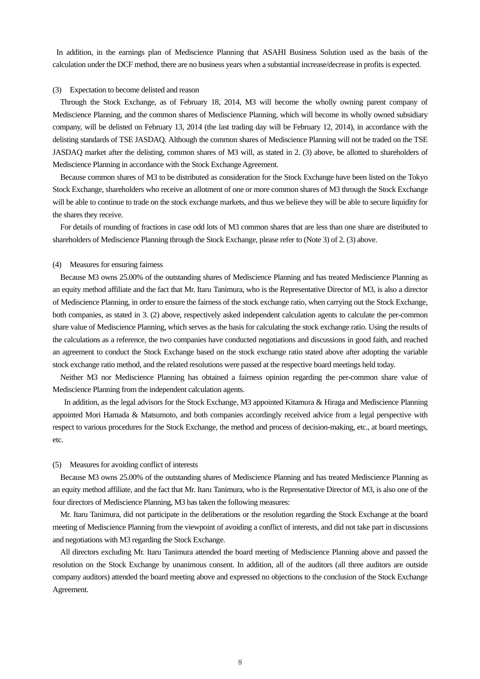In addition, in the earnings plan of Mediscience Planning that ASAHI Business Solution used as the basis of the calculation under the DCF method, there are no business years when a substantial increase/decrease in profits is expected.

#### (3) Expectation to become delisted and reason

Through the Stock Exchange, as of February 18, 2014, M3 will become the wholly owning parent company of Mediscience Planning, and the common shares of Mediscience Planning, which will become its wholly owned subsidiary company, will be delisted on February 13, 2014 (the last trading day will be February 12, 2014), in accordance with the delisting standards of TSE JASDAQ. Although the common shares of Mediscience Planning will not be traded on the TSE JASDAQ market after the delisting, common shares of M3 will, as stated in 2. (3) above, be allotted to shareholders of Mediscience Planning in accordance with the Stock Exchange Agreement.

Because common shares of M3 to be distributed as consideration for the Stock Exchange have been listed on the Tokyo Stock Exchange, shareholders who receive an allotment of one or more common shares of M3 through the Stock Exchange will be able to continue to trade on the stock exchange markets, and thus we believe they will be able to secure liquidity for the shares they receive.

For details of rounding of fractions in case odd lots of M3 common shares that are less than one share are distributed to shareholders of Mediscience Planning through the Stock Exchange, please refer to (Note 3) of 2. (3) above.

#### (4) Measures for ensuring fairness

Because M3 owns 25.00% of the outstanding shares of Mediscience Planning and has treated Mediscience Planning as an equity method affiliate and the fact that Mr. Itaru Tanimura, who is the Representative Director of M3, is also a director of Mediscience Planning, in order to ensure the fairness of the stock exchange ratio, when carrying out the Stock Exchange, both companies, as stated in 3. (2) above, respectively asked independent calculation agents to calculate the per-common share value of Mediscience Planning, which serves as the basis for calculating the stock exchange ratio. Using the results of the calculations as a reference, the two companies have conducted negotiations and discussions in good faith, and reached an agreement to conduct the Stock Exchange based on the stock exchange ratio stated above after adopting the variable stock exchange ratio method, and the related resolutions were passed at the respective board meetings held today.

Neither M3 nor Mediscience Planning has obtained a fairness opinion regarding the per-common share value of Mediscience Planning from the independent calculation agents.

In addition, as the legal advisors for the Stock Exchange, M3 appointed Kitamura & Hiraga and Mediscience Planning appointed Mori Hamada & Matsumoto, and both companies accordingly received advice from a legal perspective with respect to various procedures for the Stock Exchange, the method and process of decision-making, etc., at board meetings, etc.

#### (5) Measures for avoiding conflict of interests

Because M3 owns 25.00% of the outstanding shares of Mediscience Planning and has treated Mediscience Planning as an equity method affiliate, and the fact that Mr. Itaru Tanimura, who is the Representative Director of M3, is also one of the four directors of Mediscience Planning, M3 has taken the following measures:

Mr. Itaru Tanimura, did not participate in the deliberations or the resolution regarding the Stock Exchange at the board meeting of Mediscience Planning from the viewpoint of avoiding a conflict of interests, and did not take part in discussions and negotiations with M3 regarding the Stock Exchange.

All directors excluding Mr. Itaru Tanimura attended the board meeting of Mediscience Planning above and passed the resolution on the Stock Exchange by unanimous consent. In addition, all of the auditors (all three auditors are outside company auditors) attended the board meeting above and expressed no objections to the conclusion of the Stock Exchange Agreement.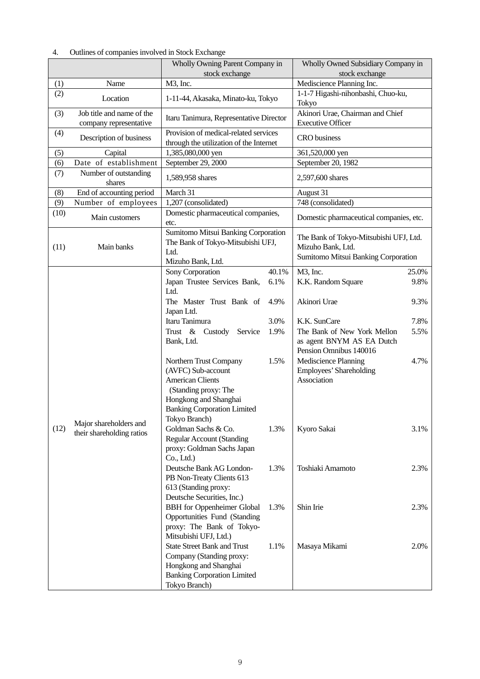|      |                                                     | Wholly Owning Parent Company in<br>stock exchange                                                                                                                               |              | Wholly Owned Subsidiary Company in<br>stock exchange                                               |              |  |
|------|-----------------------------------------------------|---------------------------------------------------------------------------------------------------------------------------------------------------------------------------------|--------------|----------------------------------------------------------------------------------------------------|--------------|--|
| (1)  | Name                                                | M3, Inc.                                                                                                                                                                        |              | Mediscience Planning Inc.                                                                          |              |  |
| (2)  | Location                                            | 1-11-44, Akasaka, Minato-ku, Tokyo                                                                                                                                              |              | 1-1-7 Higashi-nihonbashi, Chuo-ku,<br>Tokyo                                                        |              |  |
| (3)  | Job title and name of the<br>company representative | Itaru Tanimura, Representative Director                                                                                                                                         |              | Akinori Urae, Chairman and Chief<br><b>Executive Officer</b>                                       |              |  |
| (4)  | Description of business                             | Provision of medical-related services<br>through the utilization of the Internet                                                                                                |              | <b>CRO</b> business                                                                                |              |  |
| (5)  | Capital                                             | 1,385,080,000 yen                                                                                                                                                               |              | 361,520,000 yen                                                                                    |              |  |
| (6)  | Date of establishment                               | September 29, 2000                                                                                                                                                              |              | September 20, 1982                                                                                 |              |  |
| (7)  | Number of outstanding<br>shares                     | 1,589,958 shares                                                                                                                                                                |              | 2,597,600 shares                                                                                   |              |  |
| (8)  | End of accounting period                            | March 31                                                                                                                                                                        |              | August 31                                                                                          |              |  |
| (9)  | Number of employees                                 | 1,207 (consolidated)                                                                                                                                                            |              | 748 (consolidated)                                                                                 |              |  |
| (10) | Main customers                                      | Domestic pharmaceutical companies,<br>etc.                                                                                                                                      |              | Domestic pharmaceutical companies, etc.                                                            |              |  |
| (11) | Main banks                                          | Sumitomo Mitsui Banking Corporation<br>The Bank of Tokyo-Mitsubishi UFJ,<br>Ltd.<br>Mizuho Bank, Ltd.                                                                           |              | The Bank of Tokyo-Mitsubishi UFJ, Ltd.<br>Mizuho Bank, Ltd.<br>Sumitomo Mitsui Banking Corporation |              |  |
|      |                                                     | Sony Corporation                                                                                                                                                                | 40.1%        | M3, Inc.                                                                                           | 25.0%        |  |
|      |                                                     | Japan Trustee Services Bank,<br>Ltd.<br>The Master Trust Bank of<br>Japan Ltd.                                                                                                  | 6.1%<br>4.9% | K.K. Random Square<br>Akinori Urae                                                                 | 9.8%<br>9.3% |  |
|      |                                                     | Itaru Tanimura<br>Trust & Custody<br>Service<br>Bank, Ltd.                                                                                                                      | 3.0%<br>1.9% | K.K. SunCare<br>The Bank of New York Mellon<br>as agent BNYM AS EA Dutch<br>Pension Omnibus 140016 | 7.8%<br>5.5% |  |
|      |                                                     | Northern Trust Company<br>(AVFC) Sub-account<br><b>American Clients</b><br>(Standing proxy: The<br>Hongkong and Shanghai<br><b>Banking Corporation Limited</b><br>Tokyo Branch) | 1.5%         | Mediscience Planning<br>Employees' Shareholding<br>Association                                     | 4.7%         |  |
| (12) | Major shareholders and<br>their shareholding ratios | Goldman Sachs & Co.<br><b>Regular Account (Standing</b><br>proxy: Goldman Sachs Japan<br>Co., Ltd.)                                                                             | 1.3%         | Kyoro Sakai                                                                                        | 3.1%         |  |
|      |                                                     | Deutsche Bank AG London-<br>PB Non-Treaty Clients 613<br>613 (Standing proxy:<br>Deutsche Securities, Inc.)                                                                     | 1.3%         | Toshiaki Amamoto                                                                                   | 2.3%         |  |
|      |                                                     | <b>BBH</b> for Oppenheimer Global<br>Opportunities Fund (Standing<br>proxy: The Bank of Tokyo-<br>Mitsubishi UFJ, Ltd.)                                                         | 1.3%         | Shin Irie                                                                                          | 2.3%         |  |
|      |                                                     | <b>State Street Bank and Trust</b><br>Company (Standing proxy:<br>Hongkong and Shanghai<br><b>Banking Corporation Limited</b><br>Tokyo Branch)                                  | 1.1%         | Masaya Mikami                                                                                      | 2.0%         |  |

## 4. Outlines of companies involved in Stock Exchange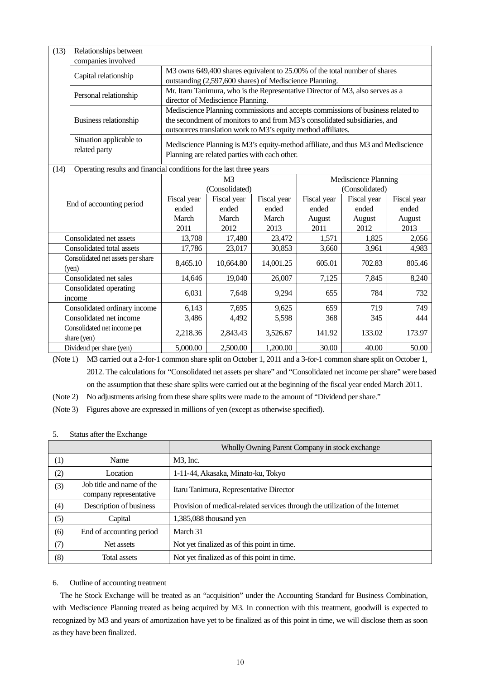| (13)                     | Relationships between<br>companies involved                         |                                                                                                                                                                                                                                |                               |                               |                                        |                                |                                |
|--------------------------|---------------------------------------------------------------------|--------------------------------------------------------------------------------------------------------------------------------------------------------------------------------------------------------------------------------|-------------------------------|-------------------------------|----------------------------------------|--------------------------------|--------------------------------|
|                          | Capital relationship                                                | M3 owns 649,400 shares equivalent to 25.00% of the total number of shares<br>outstanding (2,597,600 shares) of Mediscience Planning.                                                                                           |                               |                               |                                        |                                |                                |
|                          | Personal relationship                                               | Mr. Itaru Tanimura, who is the Representative Director of M3, also serves as a<br>director of Mediscience Planning.                                                                                                            |                               |                               |                                        |                                |                                |
|                          | Business relationship                                               | Mediscience Planning commissions and accepts commissions of business related to<br>the secondment of monitors to and from M3's consolidated subsidiaries, and<br>outsources translation work to M3's equity method affiliates. |                               |                               |                                        |                                |                                |
|                          | Situation applicable to<br>related party                            | Mediscience Planning is M3's equity-method affiliate, and thus M3 and Mediscience<br>Planning are related parties with each other.                                                                                             |                               |                               |                                        |                                |                                |
| (14)                     | Operating results and financial conditions for the last three years |                                                                                                                                                                                                                                |                               |                               |                                        |                                |                                |
|                          |                                                                     | M <sup>3</sup><br>(Consolidated)                                                                                                                                                                                               |                               |                               | Mediscience Planning<br>(Consolidated) |                                |                                |
| End of accounting period |                                                                     | Fiscal year<br>ended<br>March                                                                                                                                                                                                  | Fiscal year<br>ended<br>March | Fiscal year<br>ended<br>March | Fiscal year<br>ended<br>August         | Fiscal year<br>ended<br>August | Fiscal year<br>ended<br>August |
|                          |                                                                     | 2011                                                                                                                                                                                                                           | 2012                          | 2013                          | 2011                                   | 2012                           | 2013                           |
|                          | Consolidated net assets                                             | 13,708                                                                                                                                                                                                                         | 17,480                        | 23,472                        | 1,571                                  | 1,825                          | 2,056                          |
|                          | Consolidated total assets                                           | 17,786                                                                                                                                                                                                                         | 23,017                        | 30,853                        | 3,660                                  | 3,961                          | 4,983                          |
|                          | Consolidated net assets per share<br>(yen)                          | 8,465.10                                                                                                                                                                                                                       | 10,664.80                     | 14,001.25                     | 605.01                                 | 702.83                         | 805.46                         |
|                          | Consolidated net sales                                              | 14,646                                                                                                                                                                                                                         | 19,040                        | 26,007                        | 7,125                                  | 7,845                          | 8,240                          |
|                          | Consolidated operating<br>income                                    | 6,031                                                                                                                                                                                                                          | 7,648                         | 9,294                         | 655                                    | 784                            | 732                            |
|                          | Consolidated ordinary income                                        | 6,143                                                                                                                                                                                                                          | 7,695                         | 9,625                         | 659                                    | 719                            | 749                            |
|                          | Consolidated net income                                             | 3,486                                                                                                                                                                                                                          | 4,492                         | 5,598                         | 368                                    | 345                            | 444                            |
|                          | Consolidated net income per<br>share (yen)                          | 2,218.36                                                                                                                                                                                                                       | 2,843.43                      | 3,526.67                      | 141.92                                 | 133.02                         | 173.97                         |
|                          | Dividend per share (yen)                                            | 2,500.00<br>1,200.00<br>30.00<br>40.00<br>50.00<br>5,000.00                                                                                                                                                                    |                               |                               |                                        |                                |                                |

(Note 1) M3 carried out a 2-for-1 common share split on October 1, 2011 and a 3-for-1 common share split on October 1, 2012. The calculations for "Consolidated net assets per share" and "Consolidated net income per share" were based on the assumption that these share splits were carried out at the beginning of the fiscal year ended March 2011.

(Note 2) No adjustments arising from these share splits were made to the amount of "Dividend per share."

(Note 3) Figures above are expressed in millions of yen (except as otherwise specified).

5. Status after the Exchange

|                  |                                                     | Wholly Owning Parent Company in stock exchange                                |  |  |
|------------------|-----------------------------------------------------|-------------------------------------------------------------------------------|--|--|
| $\left(1\right)$ | Name                                                | M3, Inc.                                                                      |  |  |
| (2)              | Location                                            | 1-11-44, Akasaka, Minato-ku, Tokyo                                            |  |  |
| (3)              | Job title and name of the<br>company representative | Itaru Tanimura, Representative Director                                       |  |  |
| (4)              | Description of business                             | Provision of medical-related services through the utilization of the Internet |  |  |
| (5)              | Capital                                             | $1,385,088$ thousand yen                                                      |  |  |
| (6)              | End of accounting period                            | March 31                                                                      |  |  |
| (7)              | Net assets                                          | Not yet finalized as of this point in time.                                   |  |  |
| (8)              | <b>Total assets</b>                                 | Not yet finalized as of this point in time.                                   |  |  |

# 6. Outline of accounting treatment

The he Stock Exchange will be treated as an "acquisition" under the Accounting Standard for Business Combination, with Mediscience Planning treated as being acquired by M3. In connection with this treatment, goodwill is expected to recognized by M3 and years of amortization have yet to be finalized as of this point in time, we will disclose them as soon as they have been finalized.